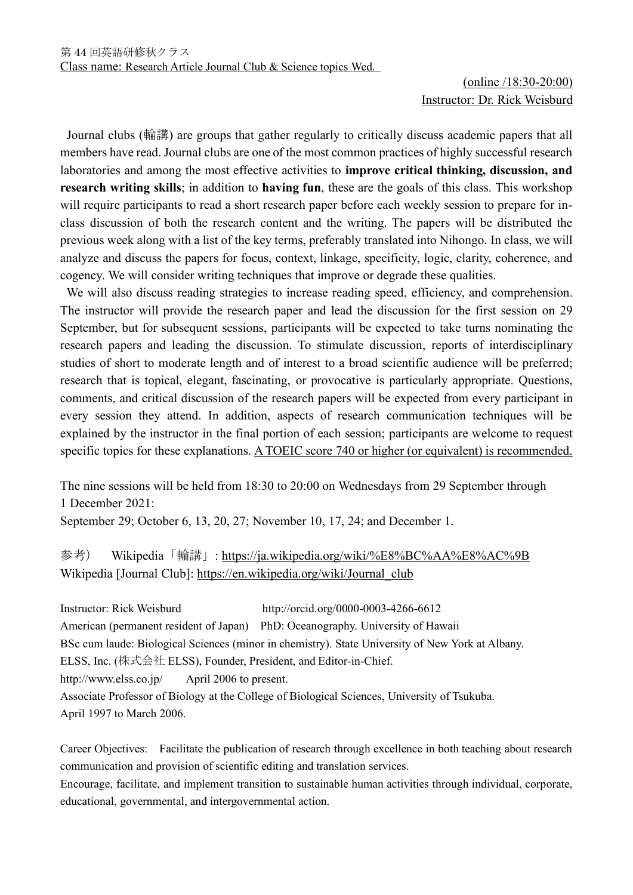## (online /18:30-20:00) Instructor: Dr. Rick Weisburd

Journal clubs (輪講) are groups that gather regularly to critically discuss academic papers that all members have read. Journal clubs are one of the most common practices of highly successful research laboratories and among the most effective activities to **improve critical thinking, discussion, and research writing skills**; in addition to **having fun**, these are the goals of this class. This workshop will require participants to read a short research paper before each weekly session to prepare for inclass discussion of both the research content and the writing. The papers will be distributed the previous week along with a list of the key terms, preferably translated into Nihongo. In class, we will analyze and discuss the papers for focus, context, linkage, specificity, logic, clarity, coherence, and cogency. We will consider writing techniques that improve or degrade these qualities.

We will also discuss reading strategies to increase reading speed, efficiency, and comprehension. The instructor will provide the research paper and lead the discussion for the first session on 29 September, but for subsequent sessions, participants will be expected to take turns nominating the research papers and leading the discussion. To stimulate discussion, reports of interdisciplinary studies of short to moderate length and of interest to a broad scientific audience will be preferred; research that is topical, elegant, fascinating, or provocative is particularly appropriate. Questions, comments, and critical discussion of the research papers will be expected from every participant in every session they attend. In addition, aspects of research communication techniques will be explained by the instructor in the final portion of each session; participants are welcome to request specific topics for these explanations. A TOEIC score 740 or higher (or equivalent) is recommended.

The nine sessions will be held from 18:30 to 20:00 on Wednesdays from 29 September through 1 December 2021:

September 29; October 6, 13, 20, 27; November 10, 17, 24; and December 1.

参考) Wikipedia「輪講」: <https://ja.wikipedia.org/wiki/%E8%BC%AA%E8%AC%9B> Wikipedia [Journal Club]: [https://en.wikipedia.org/wiki/Journal\\_club](https://en.wikipedia.org/wiki/Journal_club)

Instructor: Rick Weisburd http://orcid.org/0000-0003-4266-6612 American (permanent resident of Japan) PhD: Oceanography. University of Hawaii BSc cum laude: Biological Sciences (minor in chemistry). State University of New York at Albany. ELSS, Inc. (株式会社 ELSS), Founder, President, and Editor-in-Chief. http://www.elss.co.jp/ April 2006 to present. Associate Professor of Biology at the College of Biological Sciences, University of Tsukuba. April 1997 to March 2006.

Career Objectives: Facilitate the publication of research through excellence in both teaching about research communication and provision of scientific editing and translation services. Encourage, facilitate, and implement transition to sustainable human activities through individual, corporate, educational, governmental, and intergovernmental action.